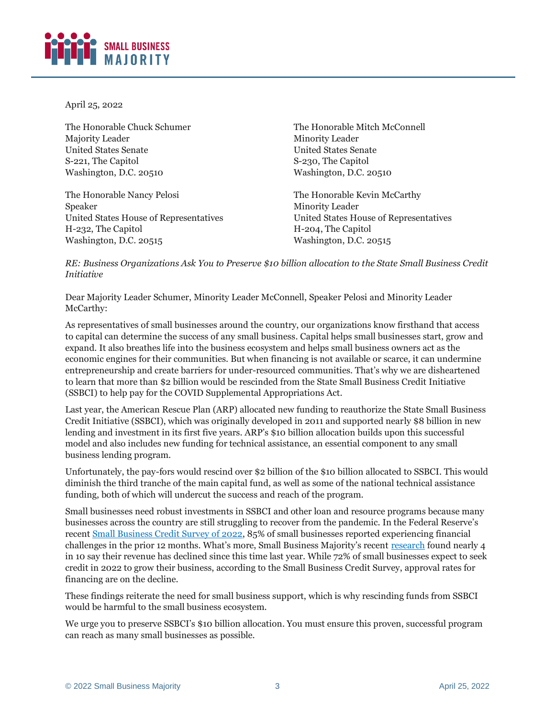

April 25, 2022

The Honorable Chuck Schumer Majority Leader United States Senate S-221, The Capitol Washington, D.C. 20510

The Honorable Nancy Pelosi Speaker United States House of Representatives H-232, The Capitol Washington, D.C. 20515

The Honorable Mitch McConnell Minority Leader United States Senate S-230, The Capitol Washington, D.C. 20510

The Honorable Kevin McCarthy Minority Leader United States House of Representatives H-204, The Capitol Washington, D.C. 20515

*RE: Business Organizations Ask You to Preserve \$10 billion allocation to the State Small Business Credit Initiative*

Dear Majority Leader Schumer, Minority Leader McConnell, Speaker Pelosi and Minority Leader McCarthy:

As representatives of small businesses around the country, our organizations know firsthand that access to capital can determine the success of any small business. Capital helps small businesses start, grow and expand. It also breathes life into the business ecosystem and helps small business owners act as the economic engines for their communities. But when financing is not available or scarce, it can undermine entrepreneurship and create barriers for under-resourced communities. That's why we are disheartened to learn that more than \$2 billion would be rescinded from the State Small Business Credit Initiative (SSBCI) to help pay for the COVID Supplemental Appropriations Act.

Last year, the American Rescue Plan (ARP) allocated new funding to reauthorize the State Small Business Credit Initiative (SSBCI), which was originally developed in 2011 and supported nearly \$8 billion in new lending and investment in its first five years. ARP's \$10 billion allocation builds upon this successful model and also includes new funding for technical assistance, an essential component to any small business lending program.

Unfortunately, the pay-fors would rescind over \$2 billion of the \$10 billion allocated to SSBCI. This would diminish the third tranche of the main capital fund, as well as some of the national technical assistance funding, both of which will undercut the success and reach of the program.

Small businesses need robust investments in SSBCI and other loan and resource programs because many businesses across the country are still struggling to recover from the pandemic. In the Federal Reserve's recent [Small Business Credit Survey of 2022,](https://www.fedsmallbusiness.org/medialibrary/FedSmallBusiness/files/2021/2021-sbcs-employer-firms-report) 85% of small businesses reported experiencing financial challenges in the prior 12 months. What's more, Small Business Majority's recent [research](https://smallbusinessmajority.org/our-research/small-businesses-seek-level-playing-field-and-chance-compete-fairly) found nearly 4 in 10 say their revenue has declined since this time last year. While 72% of small businesses expect to seek credit in 2022 to grow their business, according to the Small Business Credit Survey, approval rates for financing are on the decline.

These findings reiterate the need for small business support, which is why rescinding funds from SSBCI would be harmful to the small business ecosystem.

We urge you to preserve SSBCI's \$10 billion allocation. You must ensure this proven, successful program can reach as many small businesses as possible.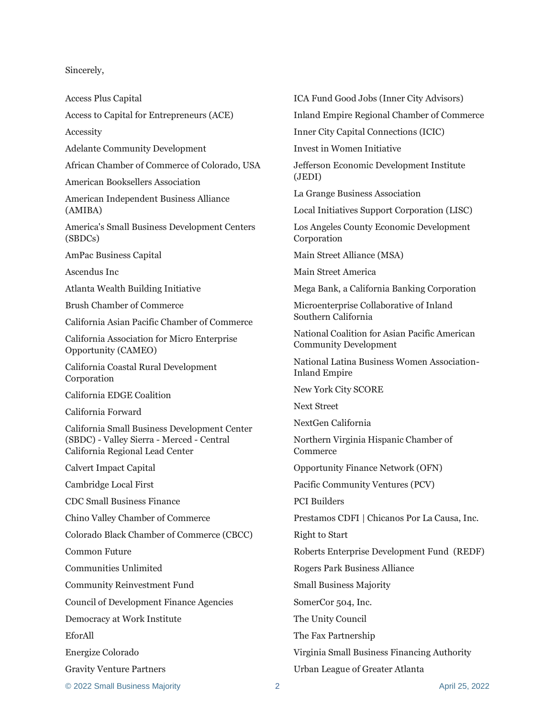## Sincerely,

Access Plus Capital

Access to Capital for Entrepreneurs (ACE)

Accessity

Adelante Community Development

African Chamber of Commerce of Colorado, USA

American Booksellers Association

American Independent Business Alliance (AMIBA)

America's Small Business Development Centers (SBDCs)

AmPac Business Capital

Ascendus Inc

Atlanta Wealth Building Initiative

Brush Chamber of Commerce

California Asian Pacific Chamber of Commerce

California Association for Micro Enterprise Opportunity (CAMEO)

California Coastal Rural Development Corporation

California EDGE Coalition

California Forward

California Small Business Development Center (SBDC) - Valley Sierra - Merced - Central California Regional Lead Center

Calvert Impact Capital

Cambridge Local First

CDC Small Business Finance

Chino Valley Chamber of Commerce

Colorado Black Chamber of Commerce (CBCC)

Common Future

Communities Unlimited

Community Reinvestment Fund

Council of Development Finance Agencies

Democracy at Work Institute

EforAll

Energize Colorado

Gravity Venture Partners

ICA Fund Good Jobs (Inner City Advisors)

Inland Empire Regional Chamber of Commerce

Inner City Capital Connections (ICIC)

Invest in Women Initiative

Jefferson Economic Development Institute (JEDI)

La Grange Business Association

Local Initiatives Support Corporation (LISC)

Los Angeles County Economic Development Corporation

Main Street Alliance (MSA)

Main Street America

Mega Bank, a California Banking Corporation

Microenterprise Collaborative of Inland Southern California

National Coalition for Asian Pacific American Community Development

National Latina Business Women Association-Inland Empire

New York City SCORE

Next Street

NextGen California

Northern Virginia Hispanic Chamber of **Commerce** 

Opportunity Finance Network (OFN)

Pacific Community Ventures (PCV)

PCI Builders

Prestamos CDFI | Chicanos Por La Causa, Inc.

Right to Start

Roberts Enterprise Development Fund (REDF)

Rogers Park Business Alliance

Small Business Majority

SomerCor 504, Inc.

The Unity Council

The Fax Partnership

Virginia Small Business Financing Authority

Urban League of Greater Atlanta

© 2022 Small Business Majority 2 April 25, 2022